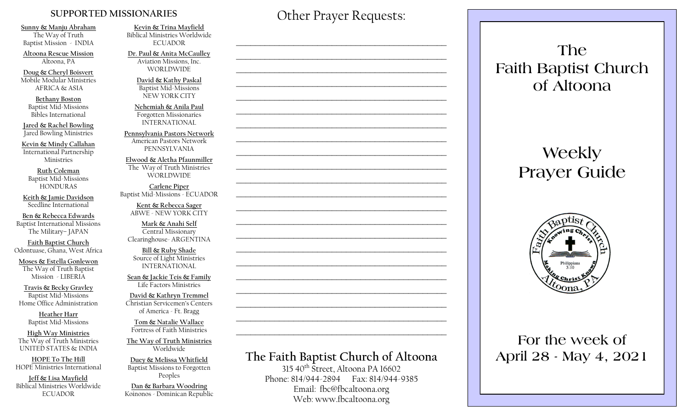#### **SUPPORTED MISSIONARIES**

**Sunny & Manju Abraham**  The Way of Truth Baptist Mission - INDIA

**Altoona Rescue Mission** Altoona, PA

**Doug & Cheryl Boisvert** Mobile Modular Ministries AFRICA & ASIA

**Bethany Boston** Baptist Mid-Missions Bibles International

**Jared & Rachel Bowling** Jared Bowling Ministries

**Kevin & Mindy Callahan** International Partnership Ministries

**Ruth Coleman** Baptist Mid-Missions HONDURAS

**Keith & Jamie Davidson** Seedline International

**Ben & Rebecca Edwards** Baptist International Missions The Military– JAPAN

**Faith Baptist Church** Odontuase, Ghana, West Africa

**Moses & Estella Gonlewon** The Way of Truth Baptist Mission - LIBERIA

**Travis & Becky Gravley**  Baptist Mid-Missions Home Office Administration

> **Heather Harr** Baptist Mid-Missions

**High Way Ministries** The Way of Truth Ministries UNITED STATES & INDIA

**HOPE To The Hill** HOPE Ministries International

**Jeff & Lisa Mayfield** Biblical Ministries Worldwide **ECUADOR** 

**Kevin & Trina Mayfield** Biblical Ministries Worldwide **ECUADOR** 

**Dr. Paul & Anita McCaulley** Aviation Missions, Inc. WORLDWIDE

> **David & Kathy Paskal** Baptist Mid-Missions NEW YORK CITY

**Nehemiah & Anila Paul** Forgotten Missionaries INTERNATIONAL

**Pennsylvania Pastors Network** American Pastors Network PENNSYLVANIA

**Elwood & Aletha Pfaunmiller** The Way of Truth Ministries WORLDWIDE

**Carlene Piper** Baptist Mid-Missions - ECUADOR

> **Kent & Rebecca Sager** ABWE - NEW YORK CITY

**Mark & Anahi Self** Central Missionary Clearinghouse- ARGENTINA

**Bill & Ruby Shade** Source of Light Ministries INTERNATIONAL

**Sean & Jackie Teis & Family** Life Factors Ministries

**David & Kathryn Tremmel**  Christian Servicemen's Centers of America - Ft. Bragg

**Tom & Natalie Wallace** Fortress of Faith Ministries

**The Way of Truth Ministries**  Worldwide

**Duey & Melissa Whitfield** Baptist Missions to Forgotten Peoples

**Dan & Barbara Woodring**  Koinonos - Dominican Republic Other Prayer Requests:

 $\mathcal{L}_\text{max}$  and  $\mathcal{L}_\text{max}$  and  $\mathcal{L}_\text{max}$  and  $\mathcal{L}_\text{max}$  and  $\mathcal{L}_\text{max}$ 

 $\mathcal{L}_\text{max}$  , and the contract of the contract of the contract of the contract of the contract of the contract of the contract of the contract of the contract of the contract of the contract of the contract of the contr

 $\mathcal{L}_\text{max}$  and  $\mathcal{L}_\text{max}$  and  $\mathcal{L}_\text{max}$  and  $\mathcal{L}_\text{max}$  and  $\mathcal{L}_\text{max}$ 

 $\mathcal{L}_\text{max}$  and  $\mathcal{L}_\text{max}$  and  $\mathcal{L}_\text{max}$  and  $\mathcal{L}_\text{max}$  and  $\mathcal{L}_\text{max}$ 

## **The Faith Baptist Church of Altoona**   $315\,40$ <sup>th</sup> Street, Altoona PA 16602  $\mathcal{L}_\text{max}$  , and the contract of the contract of the contract of the contract of the contract of the contract of the contract of the contract of the contract of the contract of the contract of the contract of the contr  $\mathcal{L}_\text{max}$  , and the contract of the contract of the contract of the contract of the contract of the contract of the contract of the contract of the contract of the contract of the contract of the contract of the contr  $\mathcal{L}_\text{max}$  , and the contract of the contract of the contract of the contract of the contract of the contract of the contract of the contract of the contract of the contract of the contract of the contract of the contr  $\mathcal{L}_\text{max}$  and  $\mathcal{L}_\text{max}$  and  $\mathcal{L}_\text{max}$  and  $\mathcal{L}_\text{max}$  and  $\mathcal{L}_\text{max}$  $\mathcal{L}_\text{max}$  , and the contract of the contract of the contract of the contract of the contract of the contract of the contract of the contract of the contract of the contract of the contract of the contract of the contr  $\mathcal{L}_\text{max}$  , and the contract of the contract of the contract of the contract of the contract of the contract of the contract of the contract of the contract of the contract of the contract of the contract of the contr  $\mathcal{L}_\text{max}$  , and the contract of the contract of the contract of the contract of the contract of the contract of the contract of the contract of the contract of the contract of the contract of the contract of the contr  $\mathcal{L}_\text{max}$  , and the contract of the contract of the contract of the contract of the contract of the contract of the contract of the contract of the contract of the contract of the contract of the contract of the contr  $\mathcal{L}_\text{max}$  and  $\mathcal{L}_\text{max}$  and  $\mathcal{L}_\text{max}$  and  $\mathcal{L}_\text{max}$  and  $\mathcal{L}_\text{max}$  $\mathcal{L}_\text{max}$  , and the contract of the contract of the contract of the contract of the contract of the contract of the contract of the contract of the contract of the contract of the contract of the contract of the contr  $\mathcal{L}_\text{max}$  , and the contract of the contract of the contract of the contract of the contract of the contract of the contract of the contract of the contract of the contract of the contract of the contract of the contr

Phone: 814/944-2894 Fax: 814/944-9385 Email: fbc@fbcaltoona.org Web: www.fbcaltoona.org

## **The Faith Baptist Church of Altoona**

# **Weekly Prayer Guide**



### **For the week of April 28 - May 4, 2021**